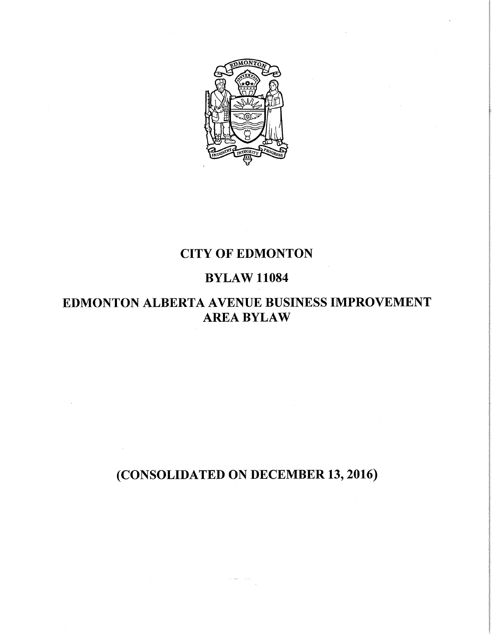

# **CITY OF EDMONTON**

# **BYLAW 11084**

# **EDMONTON ALBERTA AVENUE BUSINESS IMPROVEMENT AREA BYLAW**

# **(CONSOLIDATED ON DECEMBER 13, 2016)**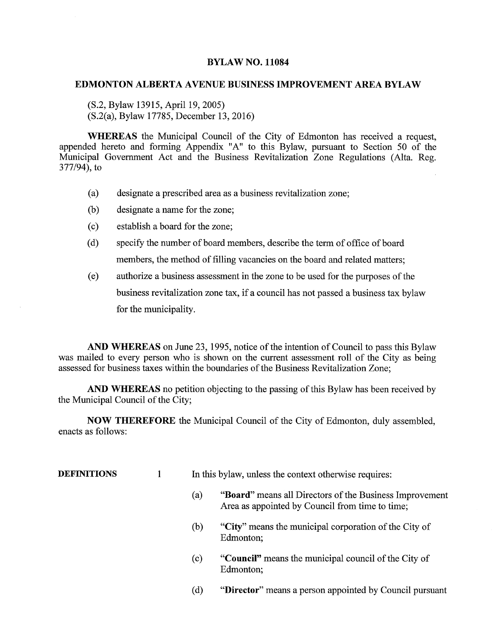# **BYLAW NO. 11084**

# **EDMONTON ALBERTA AVENUE BUSINESS IMPROVEMENT AREA BYLAW**

(S.2, Bylaw 13915, April 19, 2005) (S.2(a), Bylaw 17785, December 13, 2016)

**WHEREAS** the Municipal Council of the City of Edmonton has received a request, appended hereto and forming Appendix "A" to this Bylaw, pursuant to Section 50 of the Municipal Government Act and the Business Revitalization Zone Regulations (Alta. Reg. 377/94), to

- (a) designate a prescribed area as a business revitalization zone;
- (b) designate a name for the zone;
- (c) establish a board for the zone;
- (d) specify the number of board members, describe the term of office of board members, the method of filling vacancies on the board and related matters;
- (e) authorize a business assessment in the zone to be used for the purposes of the business revitalization zone tax, if a council has not passed a business tax bylaw for the municipality.

**AND WHEREAS** on June 23, 1995, notice of the intention of Council to pass this Bylaw was mailed to every person who is shown on the current assessment roll of the City as being assessed for business taxes within the boundaries of the Business Revitalization Zone;

**AND WHEREAS** no petition objecting to the passing of this Bylaw has been received by the Municipal Council of the City;

**NOW THEREFORE** the Municipal Council of the City of Edmonton, duly assembled, enacts as follows:

**DEFINITIONS** 1 In this bylaw, unless the context otherwise requires:

- **(a) "Board"** means all Directors of the Business Improvement Area as appointed by Council from time to time;
- **(b) "City"** means the municipal corporation of the City of Edmonton;
- **(c) "Council"** means the municipal council of the City of Edmonton;
- **(d) "Director"** means a person appointed by Council pursuant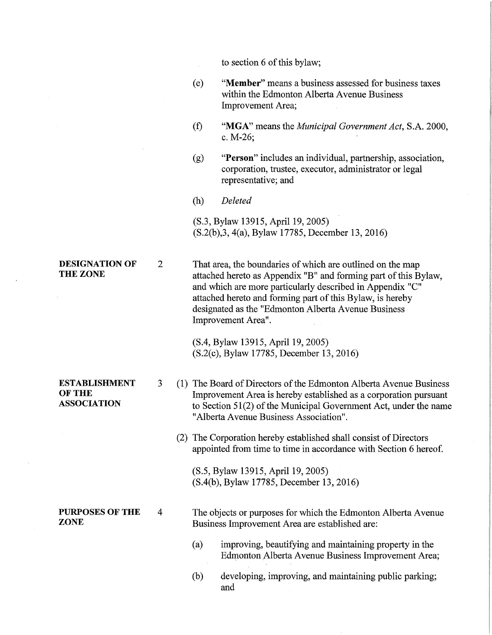|                                                             |                |     | to section 6 of this bylaw;                                                                                                                                                                                                                                                                                                           |
|-------------------------------------------------------------|----------------|-----|---------------------------------------------------------------------------------------------------------------------------------------------------------------------------------------------------------------------------------------------------------------------------------------------------------------------------------------|
|                                                             |                | (e) | "Member" means a business assessed for business taxes<br>within the Edmonton Alberta Avenue Business<br>Improvement Area;                                                                                                                                                                                                             |
|                                                             |                | (f) | "MGA" means the <i>Municipal Government Act</i> , S.A. 2000,<br>c. $M-26$ ;                                                                                                                                                                                                                                                           |
|                                                             |                | (g) | "Person" includes an individual, partnership, association,<br>corporation, trustee, executor, administrator or legal<br>representative; and                                                                                                                                                                                           |
|                                                             |                | (h) | Deleted                                                                                                                                                                                                                                                                                                                               |
|                                                             |                |     | (S.3, Bylaw 13915, April 19, 2005)<br>(S.2(b), 3, 4(a), Bylaw 17785, December 13, 2016)                                                                                                                                                                                                                                               |
| <b>DESIGNATION OF</b><br><b>THE ZONE</b>                    | $\overline{2}$ |     | That area, the boundaries of which are outlined on the map<br>attached hereto as Appendix "B" and forming part of this Bylaw,<br>and which are more particularly described in Appendix "C"<br>attached hereto and forming part of this Bylaw, is hereby<br>designated as the "Edmonton Alberta Avenue Business"<br>Improvement Area". |
|                                                             |                |     | (S.4, Bylaw 13915, April 19, 2005)<br>(S.2(c), Bylaw 17785, December 13, 2016)                                                                                                                                                                                                                                                        |
| <b>ESTABLISHMENT</b><br><b>OF THE</b><br><b>ASSOCIATION</b> | 3              |     | (1) The Board of Directors of the Edmonton Alberta Avenue Business<br>Improvement Area is hereby established as a corporation pursuant<br>to Section $51(2)$ of the Municipal Government Act, under the name<br>"Alberta Avenue Business Association".                                                                                |
|                                                             |                |     | (2) The Corporation hereby established shall consist of Directors<br>appointed from time to time in accordance with Section 6 hereof.                                                                                                                                                                                                 |
|                                                             |                |     | (S.5, Bylaw 13915, April 19, 2005)<br>(S.4(b), Bylaw 17785, December 13, 2016)                                                                                                                                                                                                                                                        |
| <b>PURPOSES OF THE</b><br><b>ZONE</b>                       | 4              |     | The objects or purposes for which the Edmonton Alberta Avenue<br>Business Improvement Area are established are:                                                                                                                                                                                                                       |
|                                                             |                | (a) | improving, beautifying and maintaining property in the<br>Edmonton Alberta Avenue Business Improvement Area;                                                                                                                                                                                                                          |
|                                                             |                | (b) | developing, improving, and maintaining public parking;<br>and                                                                                                                                                                                                                                                                         |
|                                                             |                |     |                                                                                                                                                                                                                                                                                                                                       |

 $\mathcal{L}^{\text{max}}_{\text{max}}$  and  $\mathcal{L}^{\text{max}}_{\text{max}}$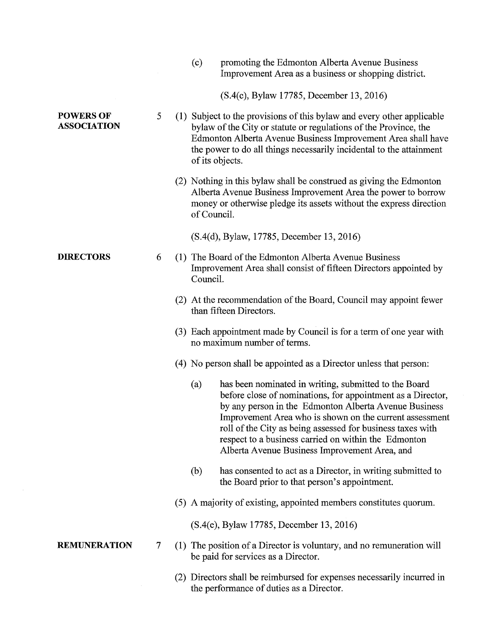|                                        |   | (c)<br>promoting the Edmonton Alberta Avenue Business<br>Improvement Area as a business or shopping district.                                                                                                                                                                                                                                                                                                                        |
|----------------------------------------|---|--------------------------------------------------------------------------------------------------------------------------------------------------------------------------------------------------------------------------------------------------------------------------------------------------------------------------------------------------------------------------------------------------------------------------------------|
|                                        |   | (S.4(c), Bylaw 17785, December 13, 2016)                                                                                                                                                                                                                                                                                                                                                                                             |
| <b>POWERS OF</b><br><b>ASSOCIATION</b> | 5 | (1) Subject to the provisions of this bylaw and every other applicable<br>bylaw of the City or statute or regulations of the Province, the<br>Edmonton Alberta Avenue Business Improvement Area shall have<br>the power to do all things necessarily incidental to the attainment<br>of its objects.                                                                                                                                 |
|                                        |   | (2) Nothing in this bylaw shall be construed as giving the Edmonton<br>Alberta Avenue Business Improvement Area the power to borrow<br>money or otherwise pledge its assets without the express direction<br>of Council.                                                                                                                                                                                                             |
|                                        |   | (S.4(d), Bylaw, 17785, December 13, 2016)                                                                                                                                                                                                                                                                                                                                                                                            |
| <b>DIRECTORS</b>                       | 6 | (1) The Board of the Edmonton Alberta Avenue Business<br>Improvement Area shall consist of fifteen Directors appointed by<br>Council.                                                                                                                                                                                                                                                                                                |
|                                        |   | (2) At the recommendation of the Board, Council may appoint fewer<br>than fifteen Directors.                                                                                                                                                                                                                                                                                                                                         |
|                                        |   | (3) Each appointment made by Council is for a term of one year with<br>no maximum number of terms.                                                                                                                                                                                                                                                                                                                                   |
|                                        |   | (4) No person shall be appointed as a Director unless that person:                                                                                                                                                                                                                                                                                                                                                                   |
|                                        |   | has been nominated in writing, submitted to the Board<br>$\left( a\right)$<br>before close of nominations, for appointment as a Director,<br>by any person in the Edmonton Alberta Avenue Business<br>Improvement Area who is shown on the current assessment<br>roll of the City as being assessed for business taxes with<br>respect to a business carried on within the Edmonton<br>Alberta Avenue Business Improvement Area, and |
|                                        |   | (b)<br>has consented to act as a Director, in writing submitted to<br>the Board prior to that person's appointment.                                                                                                                                                                                                                                                                                                                  |
|                                        |   | (5) A majority of existing, appointed members constitutes quorum.                                                                                                                                                                                                                                                                                                                                                                    |
|                                        |   | (S.4(e), Bylaw 17785, December 13, 2016)                                                                                                                                                                                                                                                                                                                                                                                             |
| <b>REMUNERATION</b>                    | 7 | (1) The position of a Director is voluntary, and no remuneration will<br>be paid for services as a Director.                                                                                                                                                                                                                                                                                                                         |
|                                        |   | (2) Directors shall be reimbursed for expenses necessarily incurred in<br>the performance of duties as a Director.                                                                                                                                                                                                                                                                                                                   |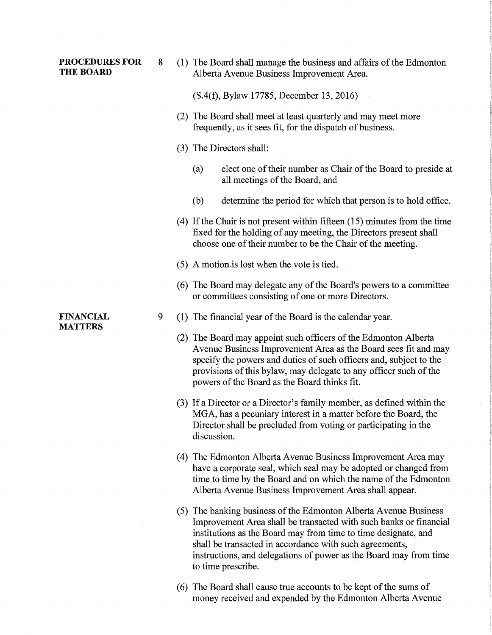**PROCEDURES FOR** 8 (1) The Board shall manage the business and affairs of the Edmonton<br>THE BOARD Alberta Avenue Business Improvement Area Alberta Avenue Business Improvement Area.

(S.4(f), Bylaw 17785, December 13, 2016)

- (2) The Board shall meet at least quarterly and may meet more frequently, as it sees fit, for the dispatch of business.
- (3) The Directors shall:
	- (a) elect one of their number as Chair of the Board to preside at all meetings of the Board, and
	- (b) determine the period for which that person is to hold office.
- (4) If the Chair is not present within fifteen (15) minutes from the time fixed for the holding of any meeting, the Directors present shall choose one of their number to be the Chair of the meeting.
- (5) A motion\_is lost when the vote is tied.
- (6) The Board may delegate any of the Board's powers to a committee or committees consisting of one or more Directors.
- 9 (1) The financial year of the Board is the calendar year.
	- (2) The Board may appoint such officers of the Edmonton Alberta Avenue Business Improvement Area as the Board sees fit and may specify the powers and duties of such officers and, subject to the provisions of this bylaw, may delegate to any officer such of the powers of the Board as the Board thinks fit.
	- (3) If a Director or a Director's family member, as defined within the MGA, has a pecuniary interest in a matter before the Board, the Director shall be precluded from voting or participating in the discussion.
	- (4) The Edmonton Alberta Avenue Business Improvement Area may have a corporate seal, which seal may be adopted or changed from time to time by the Board and on which the name of the Edmonton Alberta Avenue Business Improvement Area shall appear.
	- (5) The banking business of the Edmonton Alberta Avenue Business Improvement Area shall be transacted with such banks or financial institutions as the Board may from time to time designate, and shall be transacted in accordance with such agreements, instructions, and delegations of power as the Board may from time to time prescribe.
	- (6) The Board shall cause true accounts to be kept of the sums of money received and expended by the Edmonton Alberta Avenue

FINANCIAL MATTERS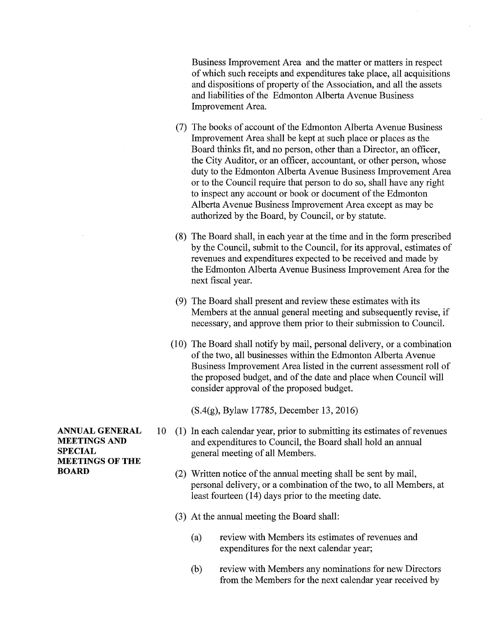Business Improvement Area and the matter or matters in respect of which such receipts and expenditures take place, all acquisitions and dispositions of property of the Association, and all the assets and liabilities of the Edmonton Alberta Avenue Business Improvement Area.

- (7) The books of account of the Edmonton Alberta Avenue Business Improvement Area shall be kept at such place or places as the Board thinks fit, and no person, other than a Director, an officer, the City Auditor, or an officer, accountant, or other person, whose duty to the Edmonton Alberta Avenue Business Improvement Area or to the Council require that person to do so, shall have any right to inspect any account or book or document of the Edmonton Alberta Avenue Business Improvement Area except as may be authorized by the Board, by Council, or by statute.
- (8) The Board shall, in each year at the time and in the form prescribed by the Council, submit to the Council, for its approval, estimates of revenues and expenditures expected to be received and made by the Edmonton Alberta Avenue Business Improvement Area for the next fiscal year.
- (9) The Board shall present and review these estimates with its Members at the annual general meeting and subsequently revise, if necessary, and approve them prior to their submission to Council.
- (10) The Board shall notify by mail, personal delivery, or a combination of the two, all businesses within the Edmonton Alberta Avenue Business Improvement Area listed in the current assessment roll of the proposed budget, and of the date and place when Council will consider approval of the proposed budget.

(S.4(g), Bylaw 17785, December 13, 2016)

- 10 (1) In each calendar year, prior to submitting its estimates of revenues and expenditures to Council, the Board shall hold an annual general meeting of all Members.
	- (2) Written notice of the annual meeting shall be sent by mail, personal delivery, or a combination of the two, to all Members, at least fourteen (14) days prior to the meeting date.
	- (3) At the annual meeting the Board shall:
		- (a) review with Members its estimates of revenues and expenditures for the next calendar year;
		- (b) review with Members any nominations for new Directors from the Members for the next calendar year received by

ANNUAL GENERAL MEETINGS AND SPECIAL **MEETINGS OF THE** BOARD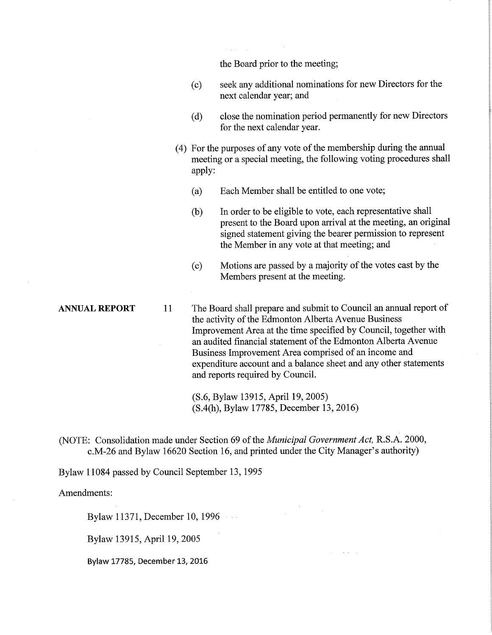the Board prior to the meeting;

- (c) seek any additional nominations for new Directors for the next calendar year; and
- (d) close the nomination period permanently for new Directors for the next calendar year.
- (4) For the purposes of any vote of the membership during the annual meeting or a special meeting, the following voting procedures shall apply:
	- (a) Each Member shall be entitled to one vote;
	- (b) In order to be eligible to vote, each representative shall present to the Board upon arrival at the meeting, an original signed statement giving the bearer permission to represent the Member in any vote at that meeting; and
	- (c) Motions are passed by a majority of the votes cast by the Members present at the meeting.

ANNUAL **REPORT 11** The Board shall prepare and submit to Council an annual report of the activity of the Edmonton Alberta Avenue Business Improvement Area at the time specified by Council, together with an audited financial statement of the Edmonton Alberta Avenue Business Improvement Area comprised of an income and expenditure account and a balance sheet and any other statements and reports required by Council.

> (S.6, Bylaw 13915, April 19, 2005) (S.4(h), Bylaw 17785, December 13, 2016)

(NOTE: Consolidation made under Section 69 of the *Municipal Government Act,* R.S.A. 2000, c.M-26 and Bylaw 16620 Section 16, and printed under the City Manager's authority)

Bylaw 11084 passed by Council September 13, 1995

Amendments:

Bylaw 11371, December 10, 1996

Bylaw 13915, April 19, 2005

Bylaw 17785, December 13, 2016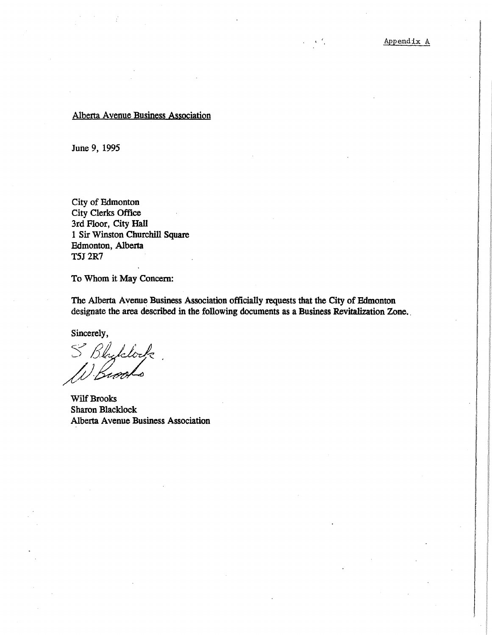## Alberta Avenue Business Association

June 9, 1995

City of Edmonton City Clerks Office 3rd Floor, City Hall 1 Sir Winston Churchill Square Edmonton, Alberta T5J 2R7

To Whom it May Concern:

The Alberta Avenue Business Association officially requests that the City of Edmonton designate the area described in the following documents as a Business Revitalization Zone.

Sincerely,

S Bhylderk

Wilf Brooks Sharon Blacklock Alberta Avenue Business Association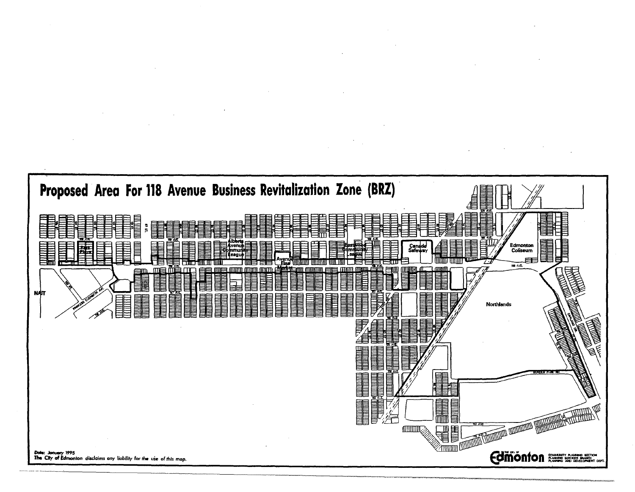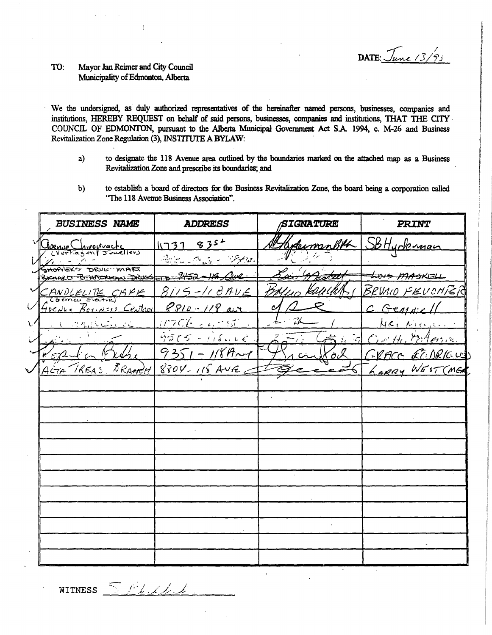DATE:  $\sqrt{u}$ ne  $\frac{1}{3}\frac{1}{3}$ 

#### TO: Mayor Jan Reimer and City Council Municipality of Edmonton, Alberta

We the undersigned, as duly authorized representatives of the hereinafter named persons, businesses, companies and institutions, HEREBY REQUEST on behalf of said persons, businesses, companies and institutions, THAT THE CITY COUNCIL OF EDMONTON, pursuant to the Alberta Municipal Government Act S.A. 1994, c. M-26 and Business Revitalization Zone Regulation (3), INSTITUTE A BYLAW:

- to designate the 118 Avenue area outlined by the boundaries marked on the attached map as a Business  $a)$ Revitalization Zone and prescribe its boundaries; and
- to establish a board of directors for the Business Revitalization Zone, the board being a corporation called  $b)$ "The 118 Avenue Business Association".

| <b>BUSINESS NAME</b>                                           | <b>ADDRESS</b>                                                                                                                                                                                                                 | SIGNATURE     | <b>PRINT</b>           |
|----------------------------------------------------------------|--------------------------------------------------------------------------------------------------------------------------------------------------------------------------------------------------------------------------------|---------------|------------------------|
| Channe Chwopvacts                                              | 11737835                                                                                                                                                                                                                       |               | HydermanBML SBHyderman |
| your and the                                                   | Parties In the State of the Second State of the Second State of the Second State of the Second State of the Second State of the Second State of the Second State of the Second State of the Second State of the Second State o |               |                        |
| SHOPPERS DRUG MART<br>BICHARD B. HACKMAN DOWS - B 9452-113 ave |                                                                                                                                                                                                                                |               | LOIS MASKELL           |
| CANDLELITE CAFE                                                | 8115-118AVE                                                                                                                                                                                                                    |               | BRVAIO FEUCHFER        |
| Greve Besinss Central                                          | $8810 - 118$ ave                                                                                                                                                                                                               | c             | C Gener                |
| 1. A Marie Company Company                                     | $11756 - 4175$                                                                                                                                                                                                                 |               | <u>Meinicipii</u>      |
|                                                                | $4565 - 118416$                                                                                                                                                                                                                | $7 - 7$       | Circitte Esterino      |
| $22 - 1$                                                       | $9351 - 1184 - 9$                                                                                                                                                                                                              | <u> Xo</u> il | FRACE ECIDRICUS        |
| ACTA REAS BRANCH                                               | $8804 - 118$ AVE                                                                                                                                                                                                               |               | LORRY WEST (MER        |
|                                                                |                                                                                                                                                                                                                                |               |                        |
|                                                                |                                                                                                                                                                                                                                |               |                        |
|                                                                |                                                                                                                                                                                                                                |               |                        |
|                                                                |                                                                                                                                                                                                                                |               |                        |
|                                                                |                                                                                                                                                                                                                                |               |                        |
|                                                                |                                                                                                                                                                                                                                |               |                        |
|                                                                |                                                                                                                                                                                                                                |               |                        |
|                                                                |                                                                                                                                                                                                                                |               |                        |
|                                                                |                                                                                                                                                                                                                                |               |                        |
|                                                                |                                                                                                                                                                                                                                |               |                        |
|                                                                |                                                                                                                                                                                                                                |               |                        |
|                                                                |                                                                                                                                                                                                                                |               |                        |

WITNESS <u>SPLLL</u>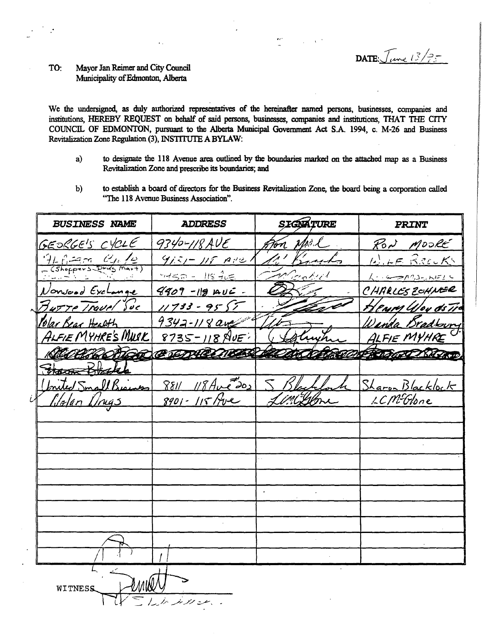DATE:  $\sqrt{Im(13/75)}$ 

#### Mayor Jan Reimer and City Council TO: Municipality of Edmonton, Alberta

We the undersigned, as duly authorized representatives of the hereinafter named persons, businesses, companies and institutions, HEREBY REQUEST on behalf of said persons, businesses, companies and institutions, THAT THE CITY COUNCIL OF EDMONTON, pursuant to the Alberta Municipal Government Act S.A. 1994, c. M-26 and Business Revitalization Zone Regulation (3), INSTITUTE A BYLAW:

- to designate the 118 Avenue area outlined by the boundaries marked on the attached map as a Business a) Revitalization Zone and prescribe its boundaries; and
- to establish a board of directors for the Business Revitalization Zone, the board being a corporation called b) "The 118 Avenue Business Association".

| <b>BUSINESS NAME</b>                                | <b>ADDRESS</b>      | SIGNATURE | PRINT            |
|-----------------------------------------------------|---------------------|-----------|------------------|
| GEORGE'S CYCLE                                      | 9340-118 AVE        | Ton Mr.l  | RON MOORE        |
| $\frac{91}{16}$ $\frac{62}{16}$ $\frac{C_{16}}{16}$ | $9151 - 115$ Are1   | 1' Banks  | WILE RECKS       |
|                                                     | $-450 - 118 - 265$  | Machel    | 1. 5-2192-20122  |
| Nonvood Exchange                                    | $4409 - 119$ $AU =$ |           | CHARLES ZOHNER   |
| Burre Travel Suc                                    | $11733 - 9557$      |           | Henry Woy ds Tra |
| <u> Polar Bear Health</u>                           | 9342-118 ave        |           | Vanda Bradtowry  |
| ALFIE MYHRE'S MWIK                                  | $8735 - 118$ NUE    |           | ALFIE MYHRE      |
| <u>COCCHRODER COMPARTIES</u>                        |                     |           | CONFROGATI ROCKE |
| Stace Black                                         |                     |           |                  |
| Inited Small Bissues                                | $8811118$ Ave202    |           | Sharon Blacklock |
| i<br>Glalan Drugs                                   | $8901 - 115$ /rue   |           | LCM-Glone        |
|                                                     |                     |           |                  |
|                                                     |                     |           |                  |
|                                                     |                     |           |                  |
|                                                     |                     |           |                  |
|                                                     |                     |           |                  |
|                                                     |                     |           |                  |
|                                                     |                     |           |                  |
|                                                     |                     |           |                  |
|                                                     |                     |           |                  |
|                                                     |                     |           |                  |
| WITNESS                                             |                     |           |                  |

 $1.4.4924...$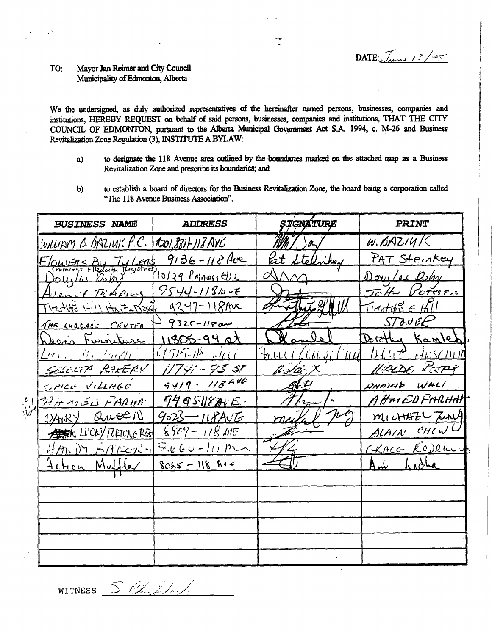DATE:  $J_{\mu\mu}$  /  $\frac{1}{2}$ 

### Mayor Jan Reimer and City Council TO: Municipality of Edmonton, Alberta

We the undersigned, as duly authorized representatives of the hereinafter named persons, businesses, companies and institutions, HEREBY REQUEST on behalf of said persons, businesses, companies and institutions, THAT THE CITY COUNCIL OF EDMONTON, pursuant to the Alberta Municipal Government Act S.A. 1994, c. M-26 and Business Revitalization Zone Regulation (3), INSTITUTE A BYLAW:

- to designate the 118 Avenue area outlined by the boundaries marked on the attached map as a Business a) Revitalization Zone and prescribe its boundaries; and
- to establish a board of directors for the Business Revitalization Zone, the board being a corporation called  $b)$ "The 118 Avenue Business Association".

| <b>BUSINESS NAME</b>             | <b>ADDRESS</b>              | ŞȚGNATURE                                            | <b>PRINT</b>                                 |
|----------------------------------|-----------------------------|------------------------------------------------------|----------------------------------------------|
| WILLIAM B. BAZIUK F.C.           | $1201,881 + 113$ AVE        |                                                      | $W.$ BAZ14/                                  |
| OWERS By Ty LERS                 | $9136 - 118$ Ave            | lat stell                                            | PAT Steinkey                                 |
| ouilas Bohã                      | 10129 Princes Cire          |                                                      | Douglas Bohy                                 |
| Wenit TriAping                   | $9544 - 1184 - E$           |                                                      | JoHn VETESTIC                                |
| TIMOHOE INII HELP-DOSSH          | 9247-118Ave                 |                                                      | $T111146E \in  H $                           |
| THE LUCCACE CENTER               | $9325 - 1180$               |                                                      | <b>STOUEE</b>                                |
| <u>Sans Furniture</u>            | 11305-94 st                 |                                                      | Dorothy Kamle                                |
| <u> Leople Mac Harpto</u>        | $(1515 - 114)$ $-1600$      | <b>TILLA</b><br>$\mathcal{U}, \mathcal{H}$<br>ti U.C | $H(f)$ $\mathcal{P}$ , $H$ $\Omega$ $\Omega$ |
| SELECTA PARTERY                  | 7°41' – 9°5°51              | fi Aar X                                             | UMDE PEPY                                    |
| SPICE VILLAGE                    | $9419 - 118446$             | 41                                                   | AMMAD WALI                                   |
| W MARY QUEEN                     | 94951871E                   |                                                      | A HALED FARHAH                               |
| QweEIN<br>DAIRY                  | $9023 - 118$ AVG            |                                                      | MICHAZL TUNA                                 |
| A ALCOVERTIVE RES 8809 - 118 AIT |                             |                                                      | ALAIN CHEWL                                  |
| Hth DY http://                   | $S_{\lambda}$ t (c u -//) m |                                                      | CKACC KOJRILL.                               |
| Action Muller                    | $8025 - 118$ Ave            |                                                      | $\mathsf{Aut}^-$                             |
|                                  |                             |                                                      |                                              |
|                                  |                             |                                                      |                                              |
|                                  |                             |                                                      |                                              |
|                                  |                             |                                                      |                                              |
|                                  |                             |                                                      |                                              |
|                                  |                             |                                                      |                                              |

S. Phillips **WITNESS**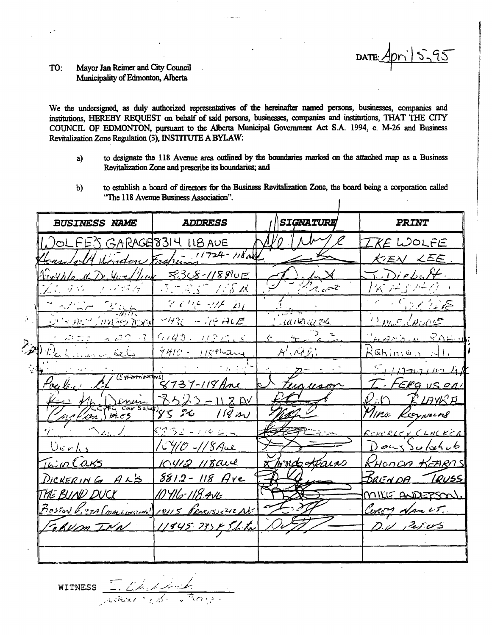# $5 - 95$ **DATE**

#### Mayor Jan Reimer and City Council TO: Municipality of Edmonton, Alberta

We the undersigned, as duly authorized representatives of the hereinafter named persons, businesses, companies and institutions, HEREBY REQUEST on behalf of said persons, businesses, companies and institutions, THAT THE CITY COUNCIL OF EDMONTON, pursuant to the Alberta Municipal Government Act S.A. 1994, c. M-26 and Business Revitalization Zone Regulation (3), INSTITUTE A BYLAW:

- to designate the 118 Avenue area outlined by the boundaries marked on the attached map as a Business a) Revitalization Zone and prescribe its boundaries; and
- to establish a board of directors for the Business Revitalization Zone, the board being a corporation called  $\mathbf{b}$ "The 118 Avenue Business Association".  $\overline{1}$

|             | <b>BUSINESS NAME</b>                                              | <b>ADDRESS</b>                          | SIGNATURE    | <b>PRINT</b>                                    |
|-------------|-------------------------------------------------------------------|-----------------------------------------|--------------|-------------------------------------------------|
|             | OLFES GARAGE8314 118 AUE                                          |                                         |              | KE WOLFE                                        |
|             | ر، مصلحه در ک                                                     | $\frac{1}{24.001}$ (1724 - 118 m)       |              | KIEN LEE                                        |
|             | Crothle                                                           | <u> 8368-118810E</u>                    |              | LDiebe                                          |
|             | アミ りや                                                             | ほにぼぶり<br>7 A W                          | 2.62         | わく アコンド                                         |
|             | $\sim$ $\sim$ $\sim$<br>$\frac{r_{\mathcal{U}}}{r_{\mathcal{U}}}$ | $\mathscr{C}$ and the $\mathscr{D}$     |              | 157112B                                         |
|             | レビュ ねいし カストラ かくな                                                  | $M_{3k} - N_{5} A E$                    | 10000000     | $D_{\text{FAC}} = D_{\text{FAC}}$               |
|             | $-6.29$<br>$\mathbb{R}^n$ on $\mathbb{R}^n$ .                     | 6743. 773 C.C                           |              | 4450N RAHUI                                     |
| $\geqslant$ | the home of cela                                                  | $9410 - 115$ thang                      | ルハイル         | Rahinian                                        |
|             | $(5 + 4)$                                                         | $\mathcal{L}(\mathcal{L}(\mathcal{A}))$ |              | 112222112                                       |
|             |                                                                   | $8737 - 118$ Ane                        | un usan      | ERG US ON                                       |
|             | Inun 1:                                                           | <u> 3523 - 11201</u>                    |              | 'E LIIVE FL                                     |
|             | MCS<br>$\mathscr{L}$                                              | アヒ<br>118.20                            |              | 11 Pic Kaynning                                 |
|             | Nerico                                                            | 8232-774254                             |              | BEVERLEY CLACKER                                |
|             | $0$ cr/s                                                          | CHO - 1/8 Aul                           |              | $D$ our $\sum$ $\omega$ ( $\alpha$ 4 $\omega$ ) |
|             | InCaks                                                            | 10412 118aue                            | mreda Klains | HONDA KEARNS                                    |
|             | DICKERING ALS                                                     | $8812 - 118$ Are                        |              | <b>BRENDA</b><br><u>IRUSS</u>                   |
|             | THE BUND DUCK                                                     | <u>10 YIlo 118 ANE</u>                  |              | MIKE ANDERSON.                                  |
|             | Boston V. 27A (marionary 10115 PENEUSSE 12 Abs                    |                                         |              | Coron Nanct.                                    |
|             | GRUM INN                                                          | 11845.235.251.12                        |              | $D_{\nu}/2$ rus                                 |
|             |                                                                   |                                         |              |                                                 |

WITNESS COMMUNICATION  $\overline{\mathcal{P}}_{\mathcal{X}(\mathcal{C}\mathcal{Y})\times\mathcal{Z}(\mathcal{X})}$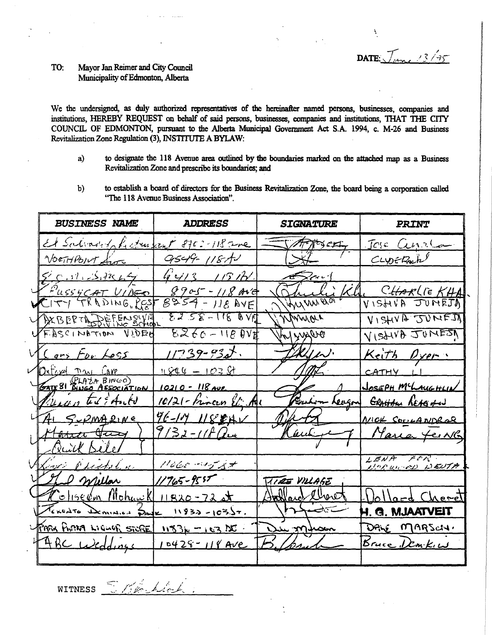DATE:  $\sqrt{2\pi}$ 

#### TO: Mayor Jan Reimer and City Council Municipality of Edmonton, Alberta

We the undersigned, as duly authorized representatives of the hereinafter named persons, businesses, companies and institutions, HEREBY REQUEST on behalf of said persons, businesses, companies and institutions, THAT THE CITY COUNCIL OF EDMONTON, pursuant to the Alberta Municipal Government Act S.A. 1994, c. M-26 and Business Revitalization Zone Regulation (3), INSTITUTE A BYLAW:

- to designate the 118 Avenue area outlined by the boundaries marked on the attached map as a Business a) Revitalization Zone and prescribe its boundaries; and
- to establish a board of directors for the Business Revitalization Zone, the board being a corporation called  $b)$ "The 118 Avenue Business Association".

| <b>BUSINESS NAME</b>                   | <b>ADDRESS</b>                   | <i><b>SIGVATURE</b></i> | PRINT                         |
|----------------------------------------|----------------------------------|-------------------------|-------------------------------|
| El Salvado Le come car 8702-118 avec   |                                  | - Artisca               | Tose Currica                  |
| NORTHPOINT from                        | 9549-1187                        | $\rightarrow$           | CLYDERAN                      |
| 5.01.31444                             | $4413 + 1517.$                   | $\sqrt{2}$              |                               |
| PUSSYCAT VIDEO                         | $8905 - 11806$<br>$8954 - 11806$ | Shuli Kh                | CHARLIE KHA                   |
|                                        |                                  | JUNIUN ELOT             |                               |
| VAXBERTA DEFENSIVE                     | $5255 - 11600$                   | Winnier                 | VISHVA JUNEJ                  |
| UFASCINATION VIDED                     | $6260 - 11804$                   | you mothly              | VISANA JUMESA                 |
| M Lars For Less                        | $11739 - 932.$                   | Delfen.                 | Keith Dyer                    |
|                                        | $12201 - 10301$                  |                         | CATHY LI                      |
| Oxford Day Care<br>Garrel PLAZA BINGO) | <u> 10210 - 118 Ave</u>          |                         | JOSEPH MCLAUGHLIN             |
| Vienanter Edents                       | 10/21 - Frincen El Au            |                         | Buchim Leagon Grotton Reagand |
| TAI SUPMARINE                          | 96-19 1188HV                     | Watt                    | MICK SOULANDROR               |
| Marca Jury                             | 9132-118 au                      | Kaulit                  | Maria Jeine                   |
| <u>Ruick Bele</u>                      |                                  |                         |                               |
| Save Philaline                         | 11660.44537                      |                         | LENA FOR                      |
| Ver enplan                             | $11765 - 9557$                   | TIRE VILLAGE            |                               |
| <u> Coliseum Mohawk 11820-72st</u>     |                                  | Hallarch Charet         | Wollard Cheret                |
| TERRATO DEMINIES SAME                  | $11932 - 103.57.$                | تتخضم لمعارضهم          | H. G. MJAATVEIT               |
| TARK APAR LIGUAR STORE 115316 -163 DC  |                                  | Du mhom                 | DANE MARSCHI                  |
| TABC Weddings 10428-118 Ave            |                                  |                         | Bruce Demkin                  |
|                                        |                                  |                         |                               |

Stillechlock **WITNESS**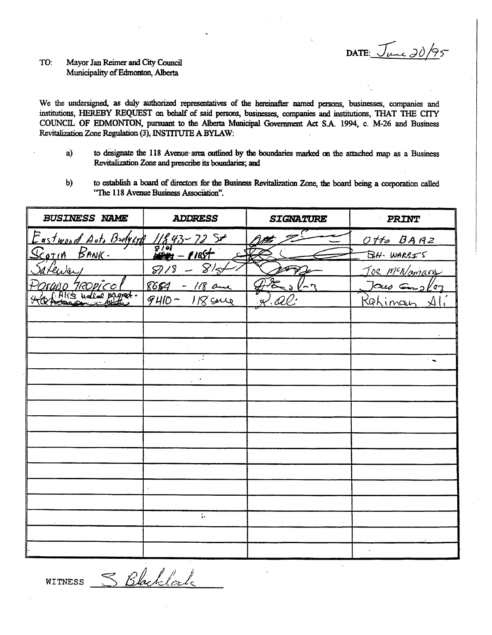**DATE:**  $\sqrt{\mu}$  20/95

## TO: Mayor Jan Reimer and City Council **Municipality of Edmonton, Alberta**

We the undersigned, as duly authorized representatives of the hereinafter named persons, businesses, companies and **institutions, HEREBY REQUEST on behalf of said persons, businesses, companies and institutions, THAT THE CITY COUNCIL OF EDMONTON, pursuant to the Alberta Municipal Government Act SA 1994, c. M-26 and Business Revitalization Zone Regulation (3), INSTITUTE A BYLAW:** 

- **a) to designate the 118 Avenue area outlined by the boundaries marked on the attached map as a Business Revitalization Zone and prescribe its boundaries; and**
- **b) to establish a board of directors for the Business Revitalization Zone, the board being a corporation called "The 118 Avenue Business Association".**

| "The 118 Avenue Business Association". |                                                    |                  |                        |  |  |  |
|----------------------------------------|----------------------------------------------------|------------------|------------------------|--|--|--|
| <b>BUSINESS NAME</b>                   | <b>ADDRESS</b>                                     | <b>SIGNATURE</b> | PRINT                  |  |  |  |
| Eastwood Auto BodyLTH                  | $11843 - 7254$                                     |                  | Offo BARZ              |  |  |  |
| BANK.<br><u>Scotin</u>                 | $\frac{1}{2}$<br><u>1185+</u>                      |                  | BH-WARSIS              |  |  |  |
| <u>enver</u>                           | $\overline{S}$<br>$8\frac{1}{2}$<br>$\mathscr D$ i |                  | Toe McNamary           |  |  |  |
| ROPICO                                 | 8654<br>- $1/8$ and                                |                  | $J\alpha\omega$ Employ |  |  |  |
|                                        | $9410 -$<br>$118$ cane                             |                  | Rahiman                |  |  |  |
|                                        |                                                    |                  |                        |  |  |  |
|                                        |                                                    |                  |                        |  |  |  |
|                                        |                                                    |                  |                        |  |  |  |
|                                        | π                                                  |                  | $\ddot{\phantom{a}}$   |  |  |  |
|                                        |                                                    |                  |                        |  |  |  |
|                                        |                                                    |                  |                        |  |  |  |
|                                        |                                                    |                  |                        |  |  |  |
|                                        |                                                    |                  |                        |  |  |  |
|                                        |                                                    |                  |                        |  |  |  |
|                                        |                                                    |                  |                        |  |  |  |
|                                        |                                                    |                  |                        |  |  |  |
|                                        |                                                    |                  |                        |  |  |  |
|                                        |                                                    |                  |                        |  |  |  |
|                                        | $\ddot{\ddot{}}$                                   |                  |                        |  |  |  |
|                                        |                                                    |                  |                        |  |  |  |
|                                        |                                                    |                  |                        |  |  |  |
|                                        |                                                    |                  |                        |  |  |  |

S Blacklock WITNESS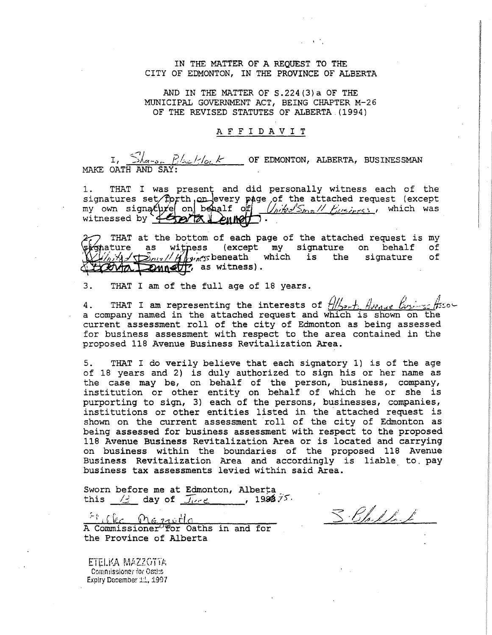### IN THE MATTER OF A REQUEST TO THE CITY OF EDMONTON, IN THE PROVINCE OF ALBERTA

AND IN THE MATTER OF S.224(3)a OF THE MUNICIPAL GOVERNMENT ACT, BEING CHAPTER M-26 OF THE REVISED STATUTES OF ALBERTA (1994)

### AFFIDAVIT

I,  $\frac{\sum_{a=0}^{n} P_{a} L_{a}}{n}$  OF EDMONTON, ALBERTA, BUSINESSMAN MAKE OATH AND SAY:

1. THAT I was present and did personally witness each of the signatures set/fprth, on every page of the attached request (except my own signature on beat of *United Small Pusiness,* which was witnessed by  $\rceil$ 

THAT at the bottom of each page of the attached request is my ature as wit ess (except my signature on behalf of A I am the signature which is the signature 120110 Dunctif, as witness).

3. THAT I am of the full age of 18 years.

4. THAT I am representing the interests of  $\frac{1}{2}$ ,  $\frac{1}{2}$ ,  $\frac{1}{2}$ ,  $\frac{1}{2}$ ,  $\frac{1}{2}$ ,  $\frac{1}{2}$ ,  $\frac{1}{2}$ ,  $\frac{1}{2}$ ,  $\frac{1}{2}$ ,  $\frac{1}{2}$ ,  $\frac{1}{2}$ ,  $\frac{1}{2}$ ,  $\frac{1}{2}$ ,  $\frac{1}{2}$ ,  $\frac{1}{2}$ ,  $\frac{1}{2}$ ,  $\$ a company named in the attached request and which is shown on the current assessment roll of the city of Edmonton as being assessed for business assessment with respect to the area contained in the proposed 118 Avenue Business Revitalization Area.

5. THAT I do verily believe that each signatory 1) is of the age of 18 years and 2) is duly authorized to sign his or her name as the case may be, on behalf of the person, business, company, institution or other entity on behalf of which he or she is purporting to sign, 3) each of the persons, businesses, companies, institutions or other entities listed in the attached request is shown on the current assessment roll of the city of Edmonton as being assessed for business assessment with respect to the proposed 118 Avenue Business Revitalization Area or is located and carrying on business within the boundaries of the proposed 118 Avenue Business Revitalization Area and accordingly is liable. to, pay business tax assessments levied within said Area.

Sworn before me at Edmonton, Alberta\_ this  $\angle$  day of  $\overline{J_{\nu}}$  , 1992.75.

Fille Manitle A Commissioner For Oaths in and for the Province of Alberta

ETELKA MAZZOTTA Comnissioner for Oatl:s Expiry December 1:1, 1997

3. Bh. I. L.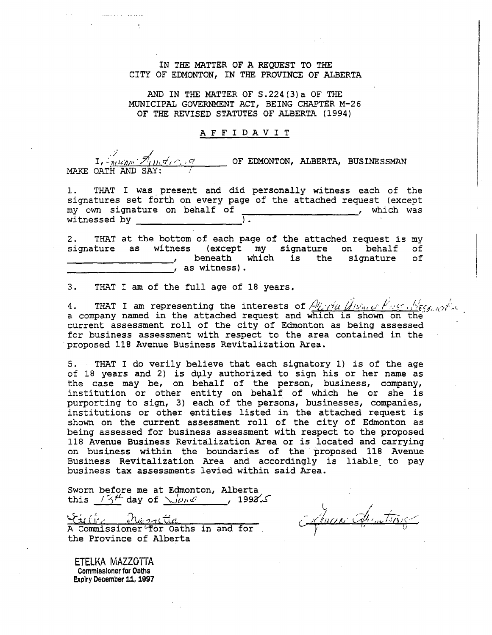IN THE MATTER OF A REQUEST TO THE CITY OF EDMONTON, IN THE PROVINCE OF ALBERTA

AND IN THE MATTER OF S.224(3)a OF THE MUNICIPAL GOVERNMENT ACT, BEING CHAPTER M-26 OF THE REVISED STATUTES OF ALBERTA (1994)

### AFFIDAVIT

./  $\frac{1}{2\pi\sqrt{1+\sigma^2+\sigma^2}}$  of EDMONTON, ALBERTA, BUSINESSMAN MAKE OATH AND SAY:

1. THAT I was present and did personally witness each of the signatures set forth on every page of the attached request (except my own signature on behalf of  $\frac{1}{2}$  and  $\frac{1}{2}$  music which was witnessed by

2. THAT at the bottom of each page of the attached request is my signature as witness (except my signature on behalf of (except my signature on behalf , beneath which is the signature of , as witness).

3. THAT I am of the full age of 18 years.

4. THAT I am representing the interests of  $A_{\mathcal{L}}$ -da (Alvan of Fusce, Algerman) a company named in the attached request and which is shown' on the current assessment roll of the city of Edmonton as being assessed for business assessment with respect to the area contained in the 'proposed 118 Avenue Business Revitalization Area.

5. THAT I do verily believe that each signatory 1) is of the age of 18 years and 2) is duly authorized to sign his or her name as the case may be, on behalf of the person, business, company, institution or other entity on behalf of which he or she is purporting to sign, 3) each of the persons, businesses, companies, institutions or other entities listed in the attached request is shown on the current assessment roll of the city of Edmonton as being assessed for business assessment with respect to the proposed 118 Avenue Business Revitalization Area or is located and carrying on business within the boundaries of the proposed 118 Avenue Business Revitalization Area and accordingly is liable. to pay business tax assessments levied within said Area.

Sworn before me at Edmonton, Alberta this  $75^{\frac{11}{1-20}}$  day of  $\sqrt{u_hw}$ , 1992.5

ستم موسوعية المحافظة المستشرق tille the rattice and for . the Province of Alberta

Ļ. *• .x.4\*/)/\*/* ' .

ETELKA MAZZOTTA Commissioner for Oaths Expiry December 11, 1997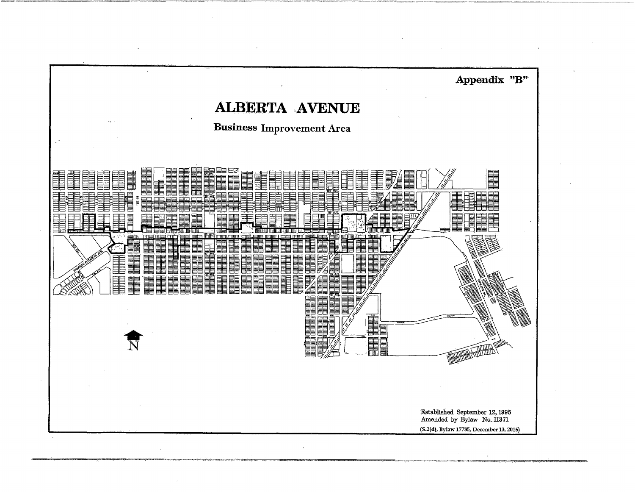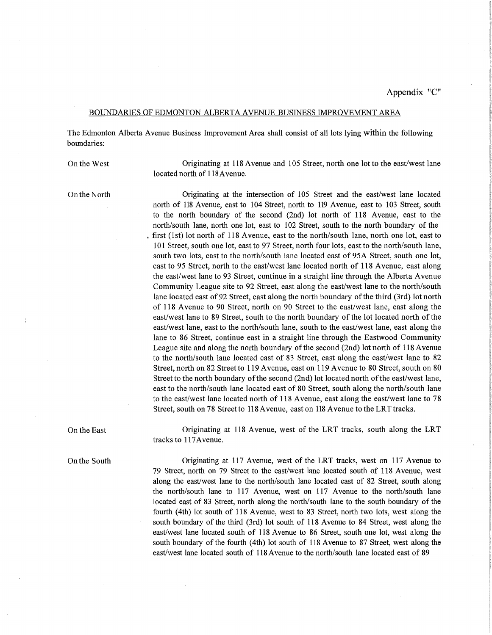### BOUNDARIES OF EDMONTON ALBERTA AVENUE BUSINESS IMPROVEMENT AREA

The Edmonton Alberta Avenue Business Improvement Area shall consist of all lots lying within the following boundaries:

On the West

Originating at 118 Avenue and 105 Street, north one lot to the east/west lane located north of 118Avenue.

On the North

Originating at the intersection of 105 Street and the east/west lane located north of 118 Avenue, east to 104 Street, north to 119 Avenue, east to 103 Street, south to the north boundary of the second (2nd) lot north of 118 Avenue, east to the north/south lane, north one lot, east to 102 Street, south to the north boundary of the , first (1st) lot north of 118 Avenue, east to the north/south lane, north one lot, east to 101 Street, south one lot, east to 97 Street, north four lots, east to the north/south lane, south two lots, east to the north/south lane located east of 95A Street, south one lot, east to 95 Street, north to the east/west lane located north of 118 Avenue, east along the east/west lane to 93 Street, continue in a straight line through the Alberta Avenue Community League site to 92 Street, east along the east/west lane to the north/south lane located east of 92 Street, east along the north boundary of the third (3rd) lot north of 118 Avenue to 90 Street, north on 90 Street to the east/west lane, east along the east/west lane to 89 Street, south to the north boundary of the lot located north of the east/west lane, east to the north/south lane, south to the east/west lane, east along the lane to 86 Street, continue east in a straight line through the Eastwood Community League site and along the north boundary of the second (2nd) lot north of 118 Avenue to the north/south lane located east of 83 Street, east along the east/west lane to 82 Street, north on 82 Street to 119 Avenue, east on 119 Avenue to 80 Street, south on 80 Street to the north boundary of the second (2nd) lot located north of the east/west lane, east to the north/south lane located east of 80 Street, south along the north/south lane to the east/west lane located north of 118 Avenue, east along the east/west lane to 78 Street, south on 78 Street to 118 Avenue, east on 118 Avenue to the LRT tracks.

On the East Originating at 118 Avenue, west of the LRT tracks, south along the LRT tracks to 117Avenue.

On the South Originating at 117 Avenue, west of the LRT tracks, west on 117 Avenue to 79 Street, north on 79 Street to the east/west lane located south of 118 Avenue, west along the east/west lane to the north/south lane located east of 82 Street, south along the north/south lane to 117 Avenue, west on 117 Avenue to the north/south lane located east of 83 Street, north along the north/south lane to the south boundary of the fourth (4th) lot south of 118 Avenue, west to 83 Street, north two lots, west along the south boundary of the third (3rd) lot south of 118 Avenue to 84 Street, west along the east/west lane located south of 118 Avenue to 86 Street, south one lot, west along the south boundary of the fourth (4th) lot south of 118 Avenue to 87 Street, west along the east/west lane located south of 118 Avenue to the north/south lane located east of 89